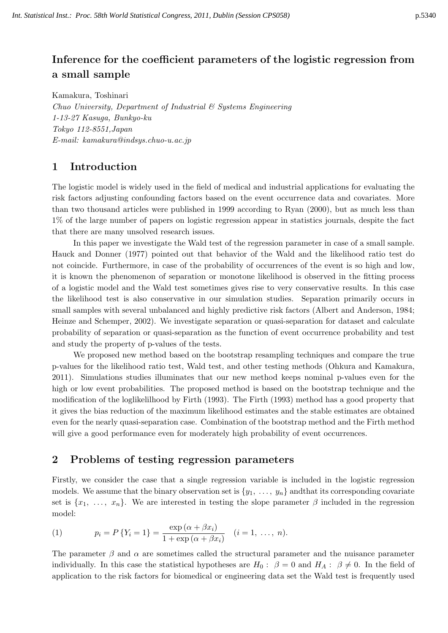# **Inference for the coefficient parameters of the logistic regression from a small sample**

Kamakura, Toshinari

*Chuo University, Department of Industrial & Systems Engineering 1-13-27 Kasuga, Bunkyo-ku Tokyo 112-8551,Japan E-mail: kamakura@indsys.chuo-u.ac.jp*

# **1 Introduction**

The logistic model is widely used in the field of medical and industrial applications for evaluating the risk factors adjusting confounding factors based on the event occurrence data and covariates. More than two thousand articles were published in 1999 according to Ryan (2000), but as much less than 1% of the large number of papers on logistic regression appear in statistics journals, despite the fact that there are many unsolved research issues.

In this paper we investigate the Wald test of the regression parameter in case of a small sample. Hauck and Donner (1977) pointed out that behavior of the Wald and the likelihood ratio test do not coincide. Furthermore, in case of the probability of occurrences of the event is so high and low, it is known the phenomenon of separation or monotone likelihood is observed in the fitting process of a logistic model and the Wald test sometimes gives rise to very conservative results. In this case the likelihood test is also conservative in our simulation studies. Separation primarily occurs in small samples with several unbalanced and highly predictive risk factors (Albert and Anderson, 1984; Heinze and Schemper, 2002). We investigate separation or quasi-separation for dataset and calculate probability of separation or quasi-separation as the function of event occurrence probability and test and study the property of p-values of the tests.

We proposed new method based on the bootstrap resampling techniques and compare the true p-values for the likelihood ratio test, Wald test, and other testing methods (Ohkura and Kamakura, 2011). Simulations studies illuminates that our new method keeps nominal p-values even for the high or low event probabilities. The proposed method is based on the bootstrap technique and the modification of the loglikelilhood by Firth (1993). The Firth (1993) method has a good property that it gives the bias reduction of the maximum likelihood estimates and the stable estimates are obtained even for the nearly quasi-separation case. Combination of the bootstrap method and the Firth method will give a good performance even for moderately high probability of event occurrences.

## **2 Problems of testing regression parameters**

Firstly, we consider the case that a single regression variable is included in the logistic regression models. We assume that the binary observation set is  $\{y_1, \ldots, y_n\}$  and that its corresponding covariate set is  $\{x_1, \ldots, x_n\}$ . We are interested in testing the slope parameter  $\beta$  included in the regression model:

(1) 
$$
p_i = P\{Y_i = 1\} = \frac{\exp{(\alpha + \beta x_i)}}{1 + \exp{(\alpha + \beta x_i)}} \quad (i = 1, \ldots, n).
$$

The parameter  $\beta$  and  $\alpha$  are sometimes called the structural parameter and the nuisance parameter individually. In this case the statistical hypotheses are  $H_0: \ \beta = 0$  and  $H_A: \ \beta \neq 0$ . In the field of application to the risk factors for biomedical or engineering data set the Wald test is frequently used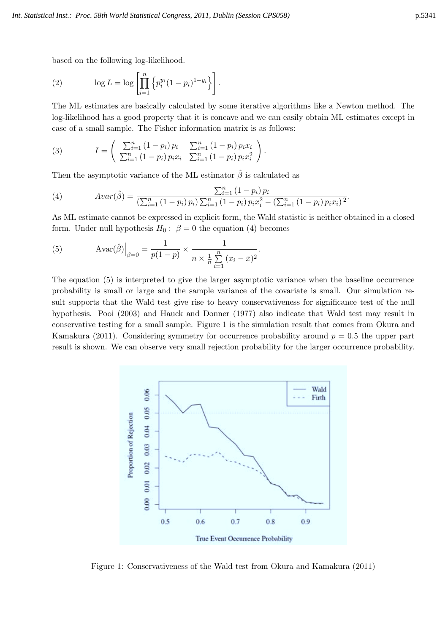based on the following log-likelihood.

(2) 
$$
\log L = \log \left[ \prod_{i=1}^{n} \left\{ p_i^{y_i} (1 - p_i)^{1 - y_i} \right\} \right].
$$

The ML estimates are basically calculated by some iterative algorithms like a Newton method. The log-likelihood has a good property that it is concave and we can easily obtain ML estimates except in case of a small sample. The Fisher information matrix is as follows:

(3) 
$$
I = \begin{pmatrix} \sum_{i=1}^{n} (1-p_i) p_i & \sum_{i=1}^{n} (1-p_i) p_i x_i \\ \sum_{i=1}^{n} (1-p_i) p_i x_i & \sum_{i=1}^{n} (1-p_i) p_i x_i^2 \end{pmatrix}.
$$

Then the asymptotic variance of the ML estimator  $\hat{\beta}$  is calculated as

(4) 
$$
Avar(\hat{\beta}) = \frac{\sum_{i=1}^{n} (1-p_i) p_i}{(\sum_{i=1}^{n} (1-p_i) p_i) \sum_{i=1}^{n} (1-p_i) p_i x_i^2 - (\sum_{i=1}^{n} (1-p_i) p_i x_i)^2}.
$$

As ML estimate cannot be expressed in explicit form, the Wald statistic is neither obtained in a closed form. Under null hypothesis  $H_0: \ \beta = 0$  the equation (4) becomes

(5) 
$$
Avar(\hat{\beta})\Big|_{\beta=0} = \frac{1}{p(1-p)} \times \frac{1}{n \times \frac{1}{n} \sum_{i=1}^{n} (x_i - \bar{x})^2}.
$$

The equation (5) is interpreted to give the larger asymptotic variance when the baseline occurrence probability is small or large and the sample variance of the covariate is small. Our simulation result supports that the Wald test give rise to heavy conservativeness for significance test of the null hypothesis. Pooi (2003) and Hauck and Donner (1977) also indicate that Wald test may result in conservative testing for a small sample. Figure 1 is the simulation result that comes from Okura and Kamakura (2011). Considering symmetry for occurrence probability around  $p = 0.5$  the upper part result is shown. We can observe very small rejection probability for the larger occurrence probability.



Figure 1: Conservativeness of the Wald test from Okura and Kamakura (2011)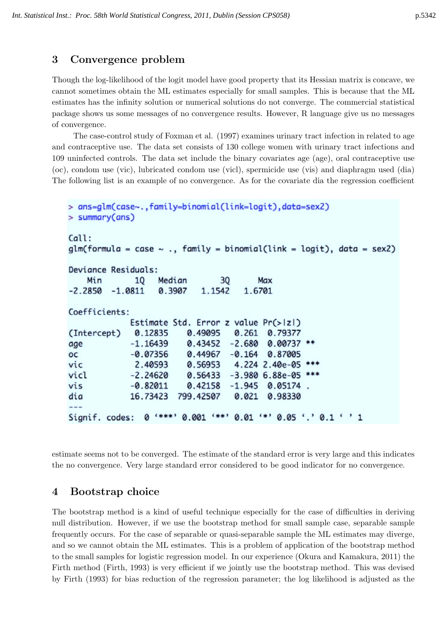### **3 Convergence problem**

Though the log-likelihood of the logit model have good property that its Hessian matrix is concave, we cannot sometimes obtain the ML estimates especially for small samples. This is because that the ML estimates has the infinity solution or numerical solutions do not converge. The commercial statistical package shows us some messages of no convergence results. However, R language give us no messages of convergence.

The case-control study of Foxman et al. (1997) examines urinary tract infection in related to age and contraceptive use. The data set consists of 130 college women with urinary tract infections and 109 uninfected controls. The data set include the binary covariates age (age), oral contraceptive use (oc), condom use (vic), lubricated condom use (vicl), spermicide use (vis) and diaphragm used (dia) The following list is an example of no convergence. As for the covariate dia the regression coefficient

```
> ans=glm(case~..family=binomial(link=logit).data=sex2)
> summary(ans)
Call:
glm(formula = case ~ . , family = binomial(link = logit), data = sex2)Deviance Residuals:
    Min
              10
                   Median
                                 30
                                         Max
-2.2850-1.08110.3907
                             1.1542
                                      1.6701
Coefficients:
             Estimate Std. Error z value Pr(>|z|)(Intercept)
              0.12835
                          0.49095
                                    0.261
                                           0.79377
             -1.164390.43452
                                   -2.6800.00737 **
age
                                   -0.164OC
             -0.073560.44967
                                           0.87005
vic
              2.40593
                          0.56953
                                    4.224 2.40e-05 ***
vicl
             -2.246200.56433
                                   -3.980 6.88e-05
vis
             -0.820110.42158
                                   -1.9450.05174
dia
             16.73423
                        799.42507
                                    0.021
                                           0.98330
                0 **** 0.001 *** 0.01 ** 0.05 '.' 0.1 ' '1
Signif. codes:
```
estimate seems not to be converged. The estimate of the standard error is very large and this indicates the no convergence. Very large standard error considered to be good indicator for no convergence.

### **4 Bootstrap choice**

The bootstrap method is a kind of useful technique especially for the case of difficulties in deriving null distribution. However, if we use the bootstrap method for small sample case, separable sample frequently occurs. For the case of separable or quasi-separable sample the ML estimates may diverge, and so we cannot obtain the ML estimates. This is a problem of application of the bootstrap method to the small samples for logistic regression model. In our experience (Okura and Kamakura, 2011) the Firth method (Firth, 1993) is very efficient if we jointly use the bootstrap method. This was devised by Firth (1993) for bias reduction of the regression parameter; the log likelihood is adjusted as the